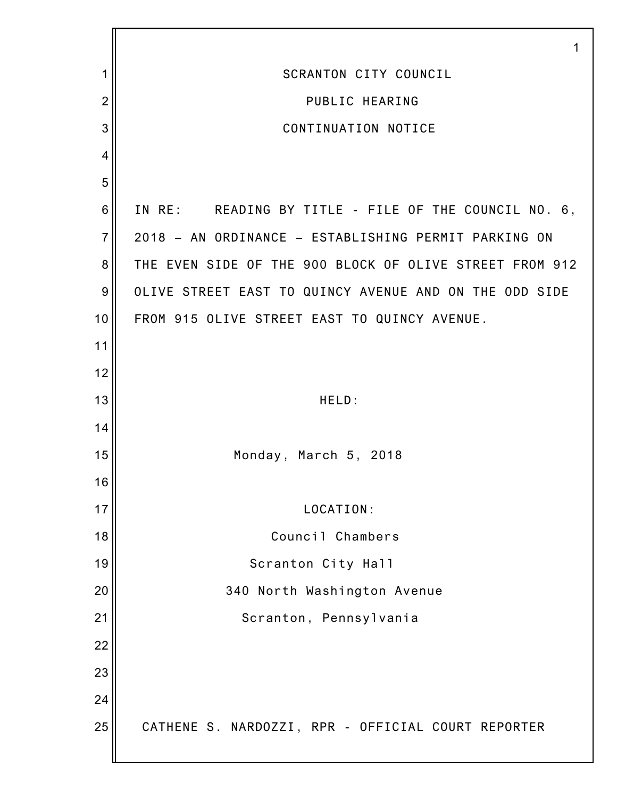|                | 1                                                       |
|----------------|---------------------------------------------------------|
| 1              | SCRANTON CITY COUNCIL                                   |
| $\overline{2}$ | PUBLIC HEARING                                          |
| 3              | CONTINUATION NOTICE                                     |
| $\overline{4}$ |                                                         |
| 5              |                                                         |
| 6              | IN RE: READING BY TITLE - FILE OF THE COUNCIL NO. 6,    |
| $\overline{7}$ | 2018 - AN ORDINANCE - ESTABLISHING PERMIT PARKING ON    |
| 8              | THE EVEN SIDE OF THE 900 BLOCK OF OLIVE STREET FROM 912 |
| $9\,$          | OLIVE STREET EAST TO QUINCY AVENUE AND ON THE ODD SIDE  |
| 10             | FROM 915 OLIVE STREET EAST TO QUINCY AVENUE.            |
| 11             |                                                         |
| 12             |                                                         |
| 13             | HELD:                                                   |
| 14             |                                                         |
| 15             | Monday, March 5, 2018                                   |
| 16             |                                                         |
| 17             | LOCATION:                                               |
| 18             | Council Chambers                                        |
| 19             | Scranton City Hall                                      |
| 20             | 340 North Washington Avenue                             |
| 21             | Scranton, Pennsylvania                                  |
| 22             |                                                         |
| 23             |                                                         |
| 24             |                                                         |
| 25             | CATHENE S. NARDOZZI, RPR - OFFICIAL COURT REPORTER      |
|                |                                                         |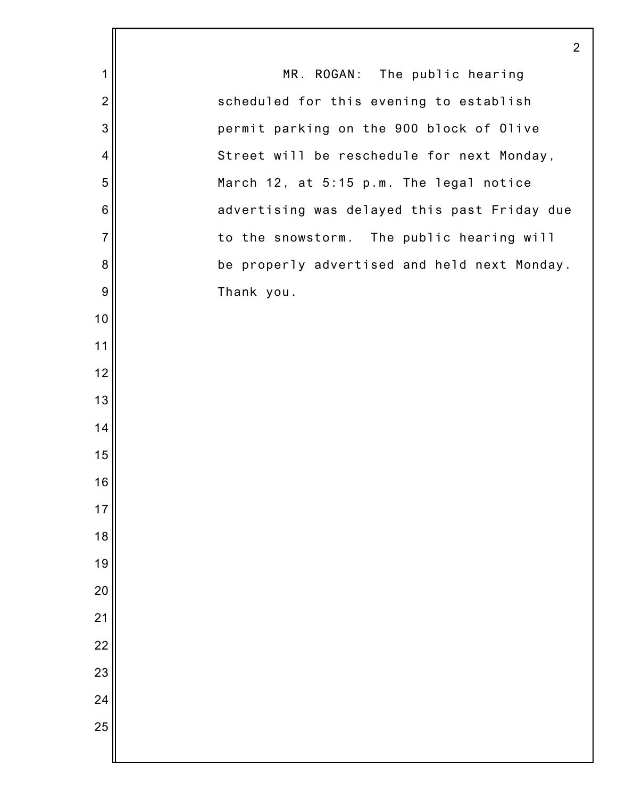|                | $\overline{2}$                               |
|----------------|----------------------------------------------|
| 1              | MR. ROGAN: The public hearing                |
| $\overline{2}$ | scheduled for this evening to establish      |
| 3              | permit parking on the 900 block of Olive     |
| 4              | Street will be reschedule for next Monday,   |
| 5              | March 12, at 5:15 p.m. The legal notice      |
| 6              | advertising was delayed this past Friday due |
| $\overline{7}$ | to the snowstorm. The public hearing will    |
| 8              | be properly advertised and held next Monday. |
| 9              | Thank you.                                   |
| 10             |                                              |
| 11             |                                              |
| 12             |                                              |
| 13             |                                              |
| 14             |                                              |
| 15             |                                              |
| 16             |                                              |
| 17             |                                              |
| 18             |                                              |
| 19             |                                              |
| 20             |                                              |
| 21             |                                              |
| 22             |                                              |
| 23             |                                              |
| 24             |                                              |
| 25             |                                              |
|                |                                              |